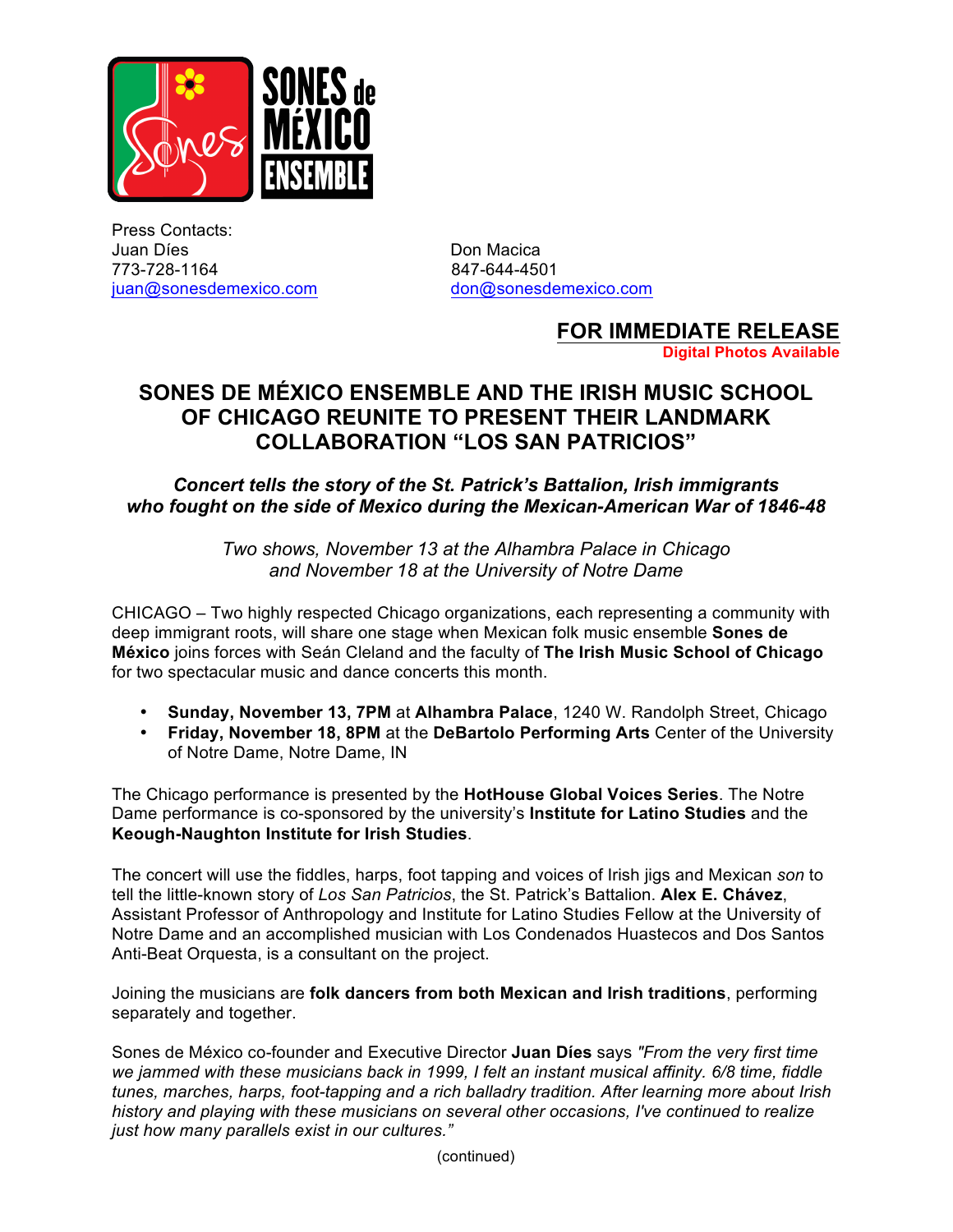

Press Contacts: Juan Díes **Don Macica** 773-728-1164 847-644-4501 juan@sonesdemexico.com don@sonesdemexico.com

## **FOR IMMEDIATE RELEASE Digital Photos Available**

## **SONES DE MÉXICO ENSEMBLE AND THE IRISH MUSIC SCHOOL OF CHICAGO REUNITE TO PRESENT THEIR LANDMARK COLLABORATION "LOS SAN PATRICIOS"**

## *Concert tells the story of the St. Patrick's Battalion, Irish immigrants who fought on the side of Mexico during the Mexican-American War of 1846-48*

*Two shows, November 13 at the Alhambra Palace in Chicago and November 18 at the University of Notre Dame*

CHICAGO – Two highly respected Chicago organizations, each representing a community with deep immigrant roots, will share one stage when Mexican folk music ensemble **Sones de México** joins forces with Seán Cleland and the faculty of **The Irish Music School of Chicago** for two spectacular music and dance concerts this month.

- **Sunday, November 13, 7PM** at **Alhambra Palace**, 1240 W. Randolph Street, Chicago
- **Friday, November 18, 8PM** at the **DeBartolo Performing Arts** Center of the University of Notre Dame, Notre Dame, IN

The Chicago performance is presented by the **HotHouse Global Voices Series**. The Notre Dame performance is co-sponsored by the university's **Institute for Latino Studies** and the **Keough-Naughton Institute for Irish Studies**.

The concert will use the fiddles, harps, foot tapping and voices of Irish jigs and Mexican *son* to tell the little-known story of *Los San Patricios*, the St. Patrick's Battalion. **Alex E. Chávez**, Assistant Professor of Anthropology and Institute for Latino Studies Fellow at the University of Notre Dame and an accomplished musician with Los Condenados Huastecos and Dos Santos Anti-Beat Orquesta, is a consultant on the project.

Joining the musicians are **folk dancers from both Mexican and Irish traditions**, performing separately and together.

Sones de México co-founder and Executive Director **Juan Díes** says *"From the very first time we jammed with these musicians back in 1999, I felt an instant musical affinity. 6/8 time, fiddle tunes, marches, harps, foot-tapping and a rich balladry tradition. After learning more about Irish history and playing with these musicians on several other occasions, I've continued to realize just how many parallels exist in our cultures."*